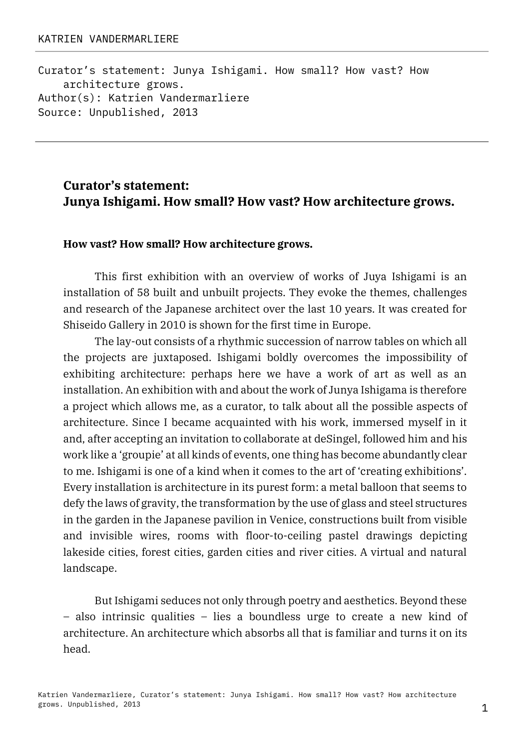Curator's statement: Junya Ishigami. How small? How vast? How architecture grows. Author(s): Katrien Vandermarliere Source: Unpublished, 2013

# **Curator's statement: Junya Ishigami. How small? How vast? How architecture grows.**

#### **How vast? How small? How architecture grows.**

This first exhibition with an overview of works of Juya Ishigami is an installation of 58 built and unbuilt projects. They evoke the themes, challenges and research of the Japanese architect over the last 10 years. It was created for Shiseido Gallery in 2010 is shown for the first time in Europe.

The lay-out consists of a rhythmic succession of narrow tables on which all the projects are juxtaposed. Ishigami boldly overcomes the impossibility of exhibiting architecture: perhaps here we have a work of art as well as an installation. An exhibition with and about the work of Junya Ishigama is therefore a project which allows me, as a curator, to talk about all the possible aspects of architecture. Since I became acquainted with his work, immersed myself in it and, after accepting an invitation to collaborate at deSingel, followed him and his work like a 'groupie' at all kinds of events, one thing has become abundantly clear to me. Ishigami is one of a kind when it comes to the art of 'creating exhibitions'. Every installation is architecture in its purest form: a metal balloon that seems to defy the laws of gravity, the transformation by the use of glass and steel structures in the garden in the Japanese pavilion in Venice, constructions built from visible and invisible wires, rooms with floor-to-ceiling pastel drawings depicting lakeside cities, forest cities, garden cities and river cities. A virtual and natural landscape.

But Ishigami seduces not only through poetry and aesthetics. Beyond these – also intrinsic qualities – lies a boundless urge to create a new kind of architecture. An architecture which absorbs all that is familiar and turns it on its head.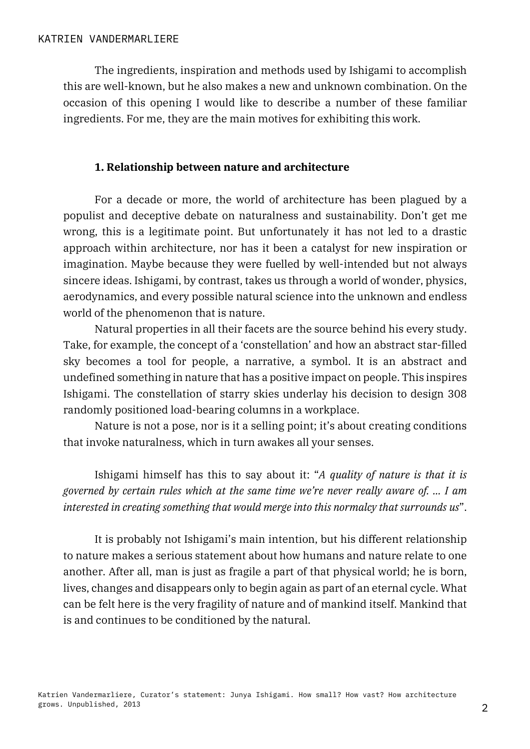The ingredients, inspiration and methods used by Ishigami to accomplish this are well-known, but he also makes a new and unknown combination. On the occasion of this opening I would like to describe a number of these familiar ingredients. For me, they are the main motives for exhibiting this work.

#### **1. Relationship between nature and architecture**

For a decade or more, the world of architecture has been plagued by a populist and deceptive debate on naturalness and sustainability. Don't get me wrong, this is a legitimate point. But unfortunately it has not led to a drastic approach within architecture, nor has it been a catalyst for new inspiration or imagination. Maybe because they were fuelled by well-intended but not always sincere ideas. Ishigami, by contrast, takes us through a world of wonder, physics, aerodynamics, and every possible natural science into the unknown and endless world of the phenomenon that is nature.

Natural properties in all their facets are the source behind his every study. Take, for example, the concept of a 'constellation' and how an abstract star-filled sky becomes a tool for people, a narrative, a symbol. It is an abstract and undefined something in nature that has a positive impact on people. This inspires Ishigami. The constellation of starry skies underlay his decision to design 308 randomly positioned load-bearing columns in a workplace.

Nature is not a pose, nor is it a selling point; it's about creating conditions that invoke naturalness, which in turn awakes all your senses.

Ishigami himself has this to say about it: "*A quality of nature is that it is governed by certain rules which at the same time we're never really aware of. … I am interested in creating something that would merge into this normalcy that surrounds us*".

It is probably not Ishigami's main intention, but his different relationship to nature makes a serious statement about how humans and nature relate to one another. After all, man is just as fragile a part of that physical world; he is born, lives, changes and disappears only to begin again as part of an eternal cycle. What can be felt here is the very fragility of nature and of mankind itself. Mankind that is and continues to be conditioned by the natural.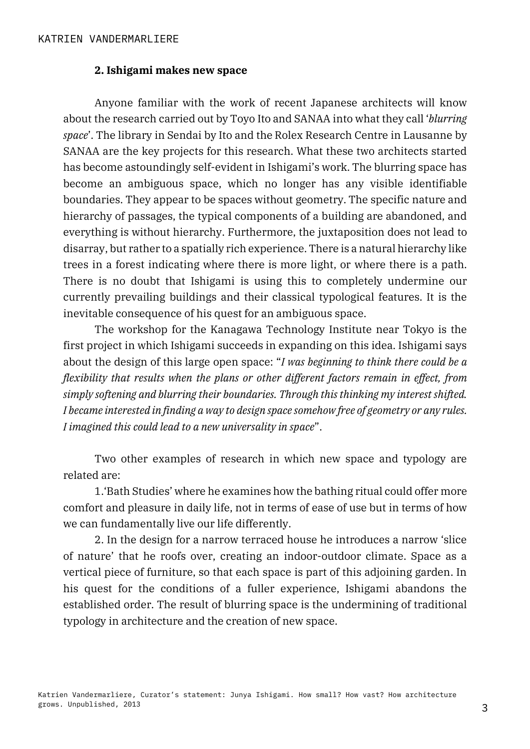#### **2. Ishigami makes new space**

Anyone familiar with the work of recent Japanese architects will know about the research carried out by Toyo Ito and SANAA into what they call '*blurring space*'. The library in Sendai by Ito and the Rolex Research Centre in Lausanne by SANAA are the key projects for this research. What these two architects started has become astoundingly self-evident in Ishigami's work. The blurring space has become an ambiguous space, which no longer has any visible identifiable boundaries. They appear to be spaces without geometry. The specific nature and hierarchy of passages, the typical components of a building are abandoned, and everything is without hierarchy. Furthermore, the juxtaposition does not lead to disarray, but rather to a spatially rich experience. There is a natural hierarchy like trees in a forest indicating where there is more light, or where there is a path. There is no doubt that Ishigami is using this to completely undermine our currently prevailing buildings and their classical typological features. It is the inevitable consequence of his quest for an ambiguous space.

The workshop for the Kanagawa Technology Institute near Tokyo is the first project in which Ishigami succeeds in expanding on this idea. Ishigami says about the design of this large open space: "*I was beginning to think there could be a flexibility that results when the plans or other different factors remain in effect, from simply softening and blurring their boundaries. Through this thinking my interest shifted. I became interested in finding a way to design space somehow free of geometry or any rules. I imagined this could lead to a new universality in space*".

Two other examples of research in which new space and typology are related are:

1.'Bath Studies' where he examines how the bathing ritual could offer more comfort and pleasure in daily life, not in terms of ease of use but in terms of how we can fundamentally live our life differently.

2. In the design for a narrow terraced house he introduces a narrow 'slice of nature' that he roofs over, creating an indoor-outdoor climate. Space as a vertical piece of furniture, so that each space is part of this adjoining garden. In his quest for the conditions of a fuller experience, Ishigami abandons the established order. The result of blurring space is the undermining of traditional typology in architecture and the creation of new space.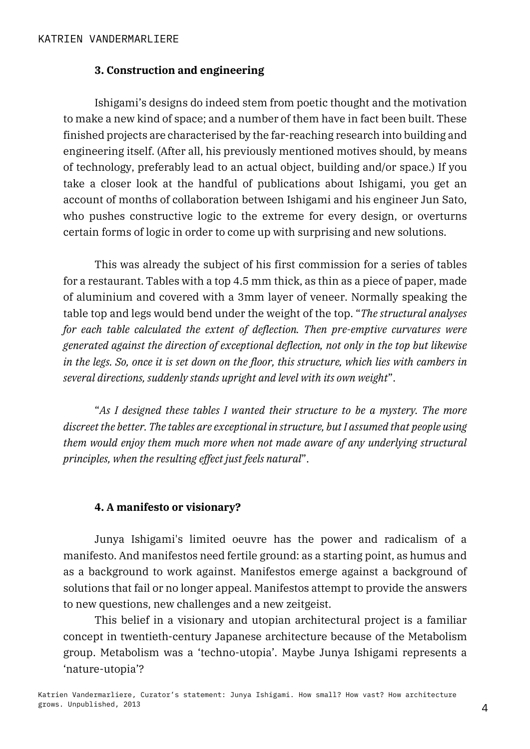### **3. Construction and engineering**

Ishigami's designs do indeed stem from poetic thought and the motivation to make a new kind of space; and a number of them have in fact been built. These finished projects are characterised by the far-reaching research into building and engineering itself. (After all, his previously mentioned motives should, by means of technology, preferably lead to an actual object, building and/or space.) If you take a closer look at the handful of publications about Ishigami, you get an account of months of collaboration between Ishigami and his engineer Jun Sato, who pushes constructive logic to the extreme for every design, or overturns certain forms of logic in order to come up with surprising and new solutions.

This was already the subject of his first commission for a series of tables for a restaurant. Tables with a top 4.5 mm thick, as thin as a piece of paper, made of aluminium and covered with a 3mm layer of veneer. Normally speaking the table top and legs would bend under the weight of the top. "*The structural analyses for each table calculated the extent of deflection. Then pre-emptive curvatures were generated against the direction of exceptional deflection, not only in the top but likewise in the legs. So, once it is set down on the floor, this structure, which lies with cambers in several directions, suddenly stands upright and level with its own weight*".

"*As I designed these tables I wanted their structure to be a mystery. The more discreet the better. The tables are exceptional in structure, but I assumed that people using them would enjoy them much more when not made aware of any underlying structural principles, when the resulting effect just feels natural*".

#### **4. A manifesto or visionary?**

Junya Ishigami's limited oeuvre has the power and radicalism of a manifesto. And manifestos need fertile ground: as a starting point, as humus and as a background to work against. Manifestos emerge against a background of solutions that fail or no longer appeal. Manifestos attempt to provide the answers to new questions, new challenges and a new zeitgeist.

This belief in a visionary and utopian architectural project is a familiar concept in twentieth-century Japanese architecture because of the Metabolism group. Metabolism was a 'techno-utopia'. Maybe Junya Ishigami represents a 'nature-utopia'?